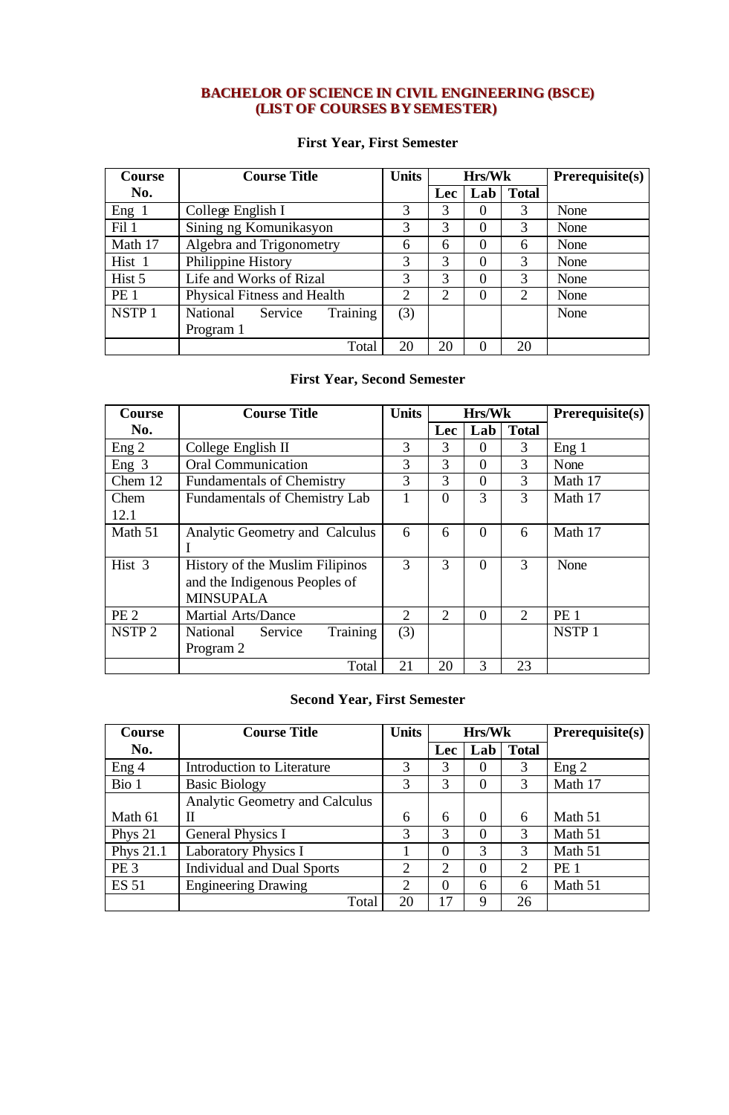### **BACHELOR OF SCIENCE IN CIVIL ENGINEERING (BSCE) (LIST OF COURSES BY SEMESTER)**

#### **First Year, First Semester**

| <b>Course</b>     | <b>Course Title</b>                    | <b>Units</b>   | <b>Hrs/Wk</b>  |     |                | $Prerequisite(s)$ |
|-------------------|----------------------------------------|----------------|----------------|-----|----------------|-------------------|
| No.               |                                        |                | <b>Lec</b>     | Lab | <b>Total</b>   |                   |
| Eng 1             | College English I                      | 3              | 3              | 0   | 3              | None              |
| Fil 1             | Sining ng Komunikasyon                 | 3              | 3              | 0   | 3              | None              |
| Math 17           | Algebra and Trigonometry               | 6              | 6              | 0   | 6              | None              |
| Hist 1            | Philippine History                     | 3              | $\mathcal{R}$  | 0   | 3              | None              |
| Hist 5            | Life and Works of Rizal                | 3              | 3              | 0   | 3              | None              |
| PE <sub>1</sub>   | Physical Fitness and Health            | $\overline{2}$ | $\overline{2}$ | 0   | $\overline{2}$ | None              |
| NSTP <sub>1</sub> | Training<br><b>National</b><br>Service | (3)            |                |     |                | None              |
|                   | Program 1                              |                |                |     |                |                   |
|                   | Total                                  | 20             | 20             | 0   | 20             |                   |

### **First Year, Second Semester**

| <b>Course</b>     | <b>Course Title</b>                  | <b>Units</b>          |                | Hrs/Wk         |              | Prerequisite(s)   |
|-------------------|--------------------------------------|-----------------------|----------------|----------------|--------------|-------------------|
| No.               |                                      |                       | Lec            | Lab            | <b>Total</b> |                   |
| Eng 2             | College English II                   | 3                     | 3              | $\Omega$       | 3            | Eng 1             |
| Eng 3             | <b>Oral Communication</b>            | 3                     | 3              | $\theta$       | 3            | None              |
| Chem 12           | <b>Fundamentals of Chemistry</b>     | 3                     | 3              | $\theta$       | 3            | Math 17           |
| Chem              | <b>Fundamentals of Chemistry Lab</b> |                       | $\Omega$       | 3              | 3            | Math 17           |
| 12.1              |                                      |                       |                |                |              |                   |
| Math 51           | Analytic Geometry and Calculus       | 6                     | 6              | $\overline{0}$ | 6            | Math 17           |
|                   |                                      |                       |                |                |              |                   |
| Hist 3            | History of the Muslim Filipinos      | 3                     | 3              | $\theta$       | 3            | None              |
|                   | and the Indigenous Peoples of        |                       |                |                |              |                   |
|                   | <b>MINSUPALA</b>                     |                       |                |                |              |                   |
| PE <sub>2</sub>   | <b>Martial Arts/Dance</b>            | $\mathcal{D}_{\cdot}$ | $\overline{2}$ | $\theta$       | 2            | PE <sub>1</sub>   |
| NSTP <sub>2</sub> | Training<br>National<br>Service      | (3)                   |                |                |              | NSTP <sub>1</sub> |
|                   | Program 2                            |                       |                |                |              |                   |
|                   | Total                                | 21                    | 20             | 3              | 23           |                   |

# **Second Year, First Semester**

| <b>Course</b>   | <b>Course Title</b>               | <b>Units</b>   | <b>Hrs/Wk</b>  |          |              | Prerequisite(s) |
|-----------------|-----------------------------------|----------------|----------------|----------|--------------|-----------------|
| No.             |                                   |                | <b>Lec</b>     | Lab      | <b>Total</b> |                 |
| Eng 4           | Introduction to Literature        | 3              | 3              |          | 3            | Eng 2           |
| Bio 1           | <b>Basic Biology</b>              | 3              | 3              | 0        | 3            | Math 17         |
|                 | Analytic Geometry and Calculus    |                |                |          |              |                 |
| Math 61         | П                                 | 6              | 6              | $\theta$ | 6            | Math 51         |
| Phys 21         | <b>General Physics I</b>          | 3              | $\mathcal{R}$  | $\theta$ | 3            | Math 51         |
| Phys 21.1       | <b>Laboratory Physics I</b>       |                | $\Omega$       | 3        | 3            | Math 51         |
| PE <sub>3</sub> | <b>Individual and Dual Sports</b> | $\overline{2}$ | $\overline{2}$ | $\theta$ | 2            | PE <sub>1</sub> |
| <b>ES 51</b>    | <b>Engineering Drawing</b>        | 2              | $\Omega$       | 6        | 6            | Math 51         |
|                 | Total                             | 20             |                | 9        | 26           |                 |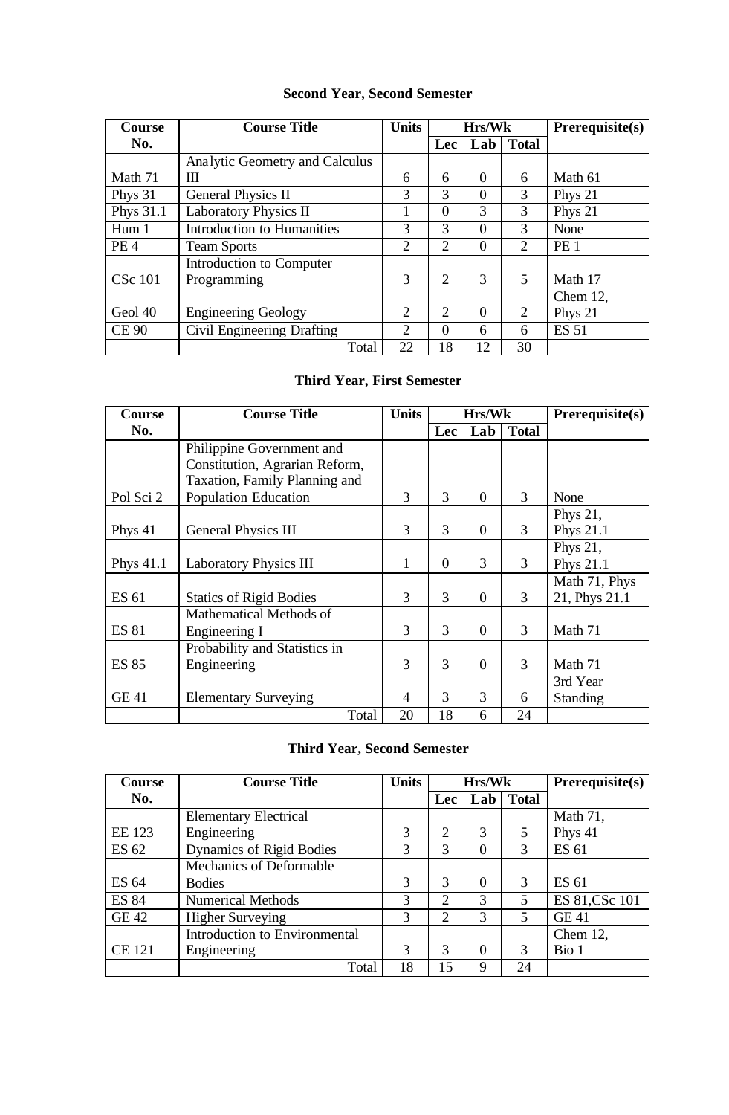### **Second Year, Second Semester**

| <b>Course</b>   | <b>Course Title</b>               | <b>Units</b>   | Hrs/Wk         |                |                | Prerequisite(s) |
|-----------------|-----------------------------------|----------------|----------------|----------------|----------------|-----------------|
| No.             |                                   |                | Lec            | Lab            | <b>Total</b>   |                 |
|                 | Analytic Geometry and Calculus    |                |                |                |                |                 |
| Math 71         | Ш                                 | 6              | 6              | 0              | 6              | Math 61         |
| Phys 31         | <b>General Physics II</b>         | 3              | 3              | 0              | 3              | Phys 21         |
| Phys 31.1       | <b>Laboratory Physics II</b>      |                | $\Omega$       | 3              | 3              | Phys 21         |
| Hum 1           | <b>Introduction to Humanities</b> | 3              | 3              | 0              | 3              | None            |
| PE <sub>4</sub> | <b>Team Sports</b>                | $\overline{2}$ | 2              | 0              | 2              | PE <sub>1</sub> |
|                 | Introduction to Computer          |                |                |                |                |                 |
| <b>CSc 101</b>  | Programming                       | 3              | 2              | 3              | 5              | Math 17         |
|                 |                                   |                |                |                |                | Chem $12$ ,     |
| Geol 40         | <b>Engineering Geology</b>        | $\overline{2}$ | $\overline{2}$ | $\overline{0}$ | $\overline{2}$ | Phys 21         |
| <b>CE 90</b>    | Civil Engineering Drafting        | $\overline{2}$ | $\Omega$       | 6              | 6              | <b>ES 51</b>    |
|                 | Total                             | 22             | 18             | 12             | 30             |                 |

### **Third Year, First Semester**

| <b>Course</b> | <b>Course Title</b>            | <b>Units</b>   |          | Hrs/Wk         |              | Prerequisite(s) |
|---------------|--------------------------------|----------------|----------|----------------|--------------|-----------------|
| No.           |                                |                | Lec      | Lab            | <b>Total</b> |                 |
|               | Philippine Government and      |                |          |                |              |                 |
|               | Constitution, Agrarian Reform, |                |          |                |              |                 |
|               | Taxation, Family Planning and  |                |          |                |              |                 |
| Pol Sci 2     | <b>Population Education</b>    | 3              | 3        | $\theta$       | 3            | None            |
|               |                                |                |          |                |              | Phys 21,        |
| Phys 41       | <b>General Physics III</b>     | 3              | 3        | $\overline{0}$ | 3            | Phys 21.1       |
|               |                                |                |          |                |              | Phys 21,        |
| Phys 41.1     | <b>Laboratory Physics III</b>  | $\mathbf{1}$   | $\theta$ | 3              | 3            | Phys 21.1       |
|               |                                |                |          |                |              | Math 71, Phys   |
| ES 61         | <b>Statics of Rigid Bodies</b> | 3              | 3        | $\theta$       | 3            | 21, Phys 21.1   |
|               | Mathematical Methods of        |                |          |                |              |                 |
| <b>ES 81</b>  | Engineering I                  | 3              | 3        | $\Omega$       | 3            | Math 71         |
|               | Probability and Statistics in  |                |          |                |              |                 |
| <b>ES 85</b>  | Engineering                    | 3              | 3        | $\overline{0}$ | 3            | Math 71         |
|               |                                |                |          |                |              | 3rd Year        |
| <b>GE 41</b>  | <b>Elementary Surveying</b>    | $\overline{4}$ | 3        | 3              | 6            | Standing        |
|               | Total                          | 20             | 18       | 6              | 24           |                 |

# **Third Year, Second Semester**

| Course        | <b>Course Title</b>                  | <b>Units</b> |                             | <b>Hrs/Wk</b> |                | $Prerequisite(s)$ |
|---------------|--------------------------------------|--------------|-----------------------------|---------------|----------------|-------------------|
| No.           |                                      |              | Lec                         | Lab           | <b>Total</b>   |                   |
|               | <b>Elementary Electrical</b>         |              |                             |               |                | Math 71,          |
| <b>EE</b> 123 | Engineering                          | 3            | $\mathcal{D}_{\mathcal{L}}$ | 3             | 5              | Phys 41           |
| ES 62         | Dynamics of Rigid Bodies             | 3            | 3                           | $\Omega$      | 3              | <b>ES 61</b>      |
|               | <b>Mechanics of Deformable</b>       |              |                             |               |                |                   |
| ES 64         | <b>Bodies</b>                        | 3            | $\mathcal{R}$               | $\theta$      | 3              | ES 61             |
| <b>ES 84</b>  | <b>Numerical Methods</b>             | 3            | $\overline{2}$              | 3             | $\mathfrak{S}$ | ES 81, CSc 101    |
| <b>GE 42</b>  | <b>Higher Surveying</b>              | 3            | 2                           | 3             | 5              | <b>GE 41</b>      |
|               | <b>Introduction to Environmental</b> |              |                             |               |                | Chem $12$ ,       |
| <b>CE 121</b> | Engineering                          | 3            | 3                           | $\theta$      | 3              | Bio 1             |
|               | Total                                | 18           | 15                          | 9             | 24             |                   |